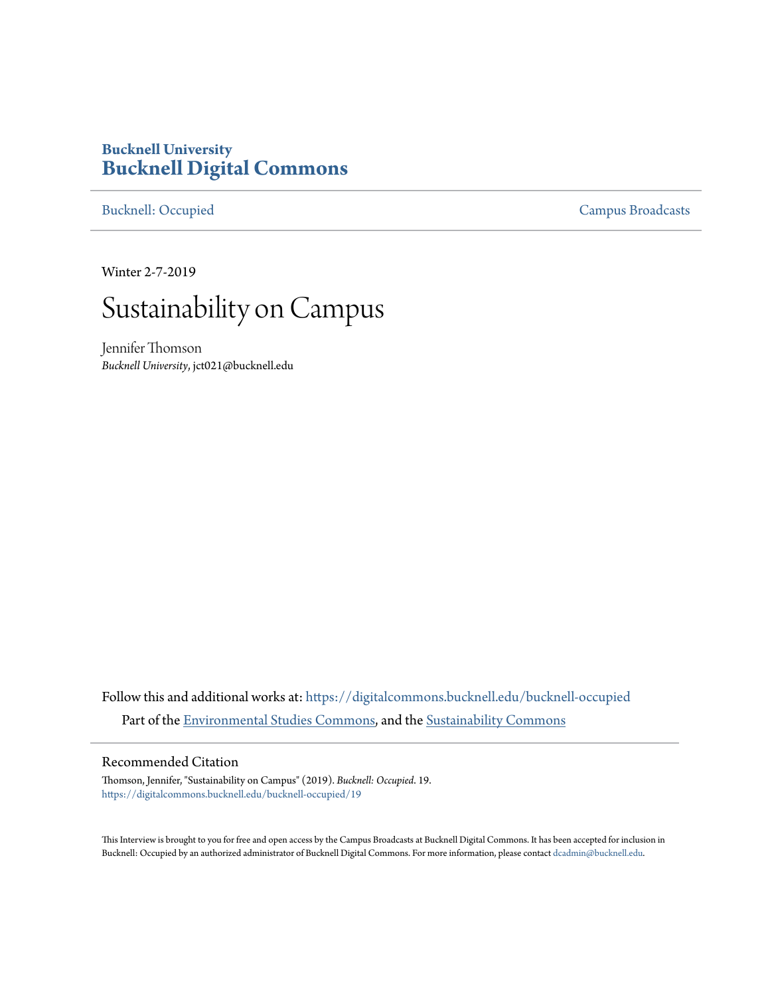## **Bucknell University [Bucknell Digital Commons](https://digitalcommons.bucknell.edu?utm_source=digitalcommons.bucknell.edu%2Fbucknell-occupied%2F19&utm_medium=PDF&utm_campaign=PDFCoverPages)**

[Bucknell: Occupied](https://digitalcommons.bucknell.edu/bucknell-occupied?utm_source=digitalcommons.bucknell.edu%2Fbucknell-occupied%2F19&utm_medium=PDF&utm_campaign=PDFCoverPages) [Campus Broadcasts](https://digitalcommons.bucknell.edu/campus-broadcasts?utm_source=digitalcommons.bucknell.edu%2Fbucknell-occupied%2F19&utm_medium=PDF&utm_campaign=PDFCoverPages)

Winter 2-7-2019

## Sustainability on Campus

Jennifer Thomson *Bucknell University*, jct021@bucknell.edu

Follow this and additional works at: [https://digitalcommons.bucknell.edu/bucknell-occupied](https://digitalcommons.bucknell.edu/bucknell-occupied?utm_source=digitalcommons.bucknell.edu%2Fbucknell-occupied%2F19&utm_medium=PDF&utm_campaign=PDFCoverPages) Part of the [Environmental Studies Commons](http://network.bepress.com/hgg/discipline/1333?utm_source=digitalcommons.bucknell.edu%2Fbucknell-occupied%2F19&utm_medium=PDF&utm_campaign=PDFCoverPages), and the [Sustainability Commons](http://network.bepress.com/hgg/discipline/1031?utm_source=digitalcommons.bucknell.edu%2Fbucknell-occupied%2F19&utm_medium=PDF&utm_campaign=PDFCoverPages)

## Recommended Citation

Thomson, Jennifer, "Sustainability on Campus" (2019). *Bucknell: Occupied*. 19. [https://digitalcommons.bucknell.edu/bucknell-occupied/19](https://digitalcommons.bucknell.edu/bucknell-occupied/19?utm_source=digitalcommons.bucknell.edu%2Fbucknell-occupied%2F19&utm_medium=PDF&utm_campaign=PDFCoverPages)

This Interview is brought to you for free and open access by the Campus Broadcasts at Bucknell Digital Commons. It has been accepted for inclusion in Bucknell: Occupied by an authorized administrator of Bucknell Digital Commons. For more information, please contact [dcadmin@bucknell.edu](mailto:dcadmin@bucknell.edu).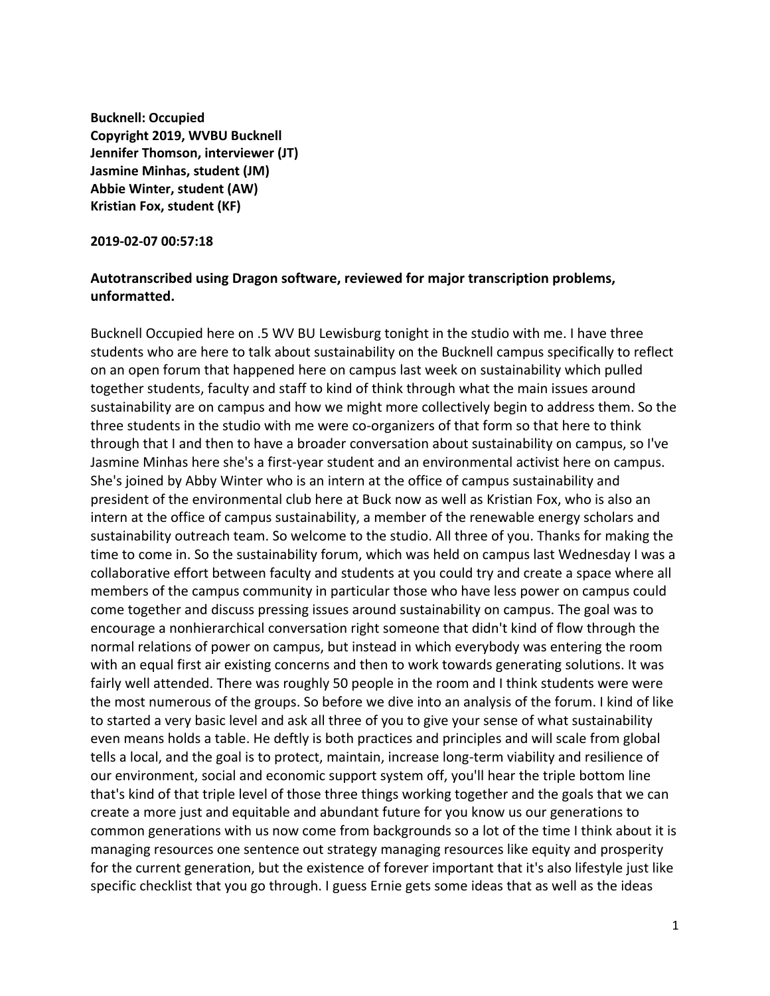**Bucknell: Occupied Copyright 2019, WVBU Bucknell Jennifer Thomson, interviewer (JT) Jasmine Minhas, student (JM) Abbie Winter, student (AW) Kristian Fox, student (KF)**

**2019-02-07 00:57:18**

## **Autotranscribed using Dragon software, reviewed for major transcription problems, unformatted.**

Bucknell Occupied here on .5 WV BU Lewisburg tonight in the studio with me. I have three students who are here to talk about sustainability on the Bucknell campus specifically to reflect on an open forum that happened here on campus last week on sustainability which pulled together students, faculty and staff to kind of think through what the main issues around sustainability are on campus and how we might more collectively begin to address them. So the three students in the studio with me were co-organizers of that form so that here to think through that I and then to have a broader conversation about sustainability on campus, so I've Jasmine Minhas here she's a first-year student and an environmental activist here on campus. She's joined by Abby Winter who is an intern at the office of campus sustainability and president of the environmental club here at Buck now as well as Kristian Fox, who is also an intern at the office of campus sustainability, a member of the renewable energy scholars and sustainability outreach team. So welcome to the studio. All three of you. Thanks for making the time to come in. So the sustainability forum, which was held on campus last Wednesday I was a collaborative effort between faculty and students at you could try and create a space where all members of the campus community in particular those who have less power on campus could come together and discuss pressing issues around sustainability on campus. The goal was to encourage a nonhierarchical conversation right someone that didn't kind of flow through the normal relations of power on campus, but instead in which everybody was entering the room with an equal first air existing concerns and then to work towards generating solutions. It was fairly well attended. There was roughly 50 people in the room and I think students were were the most numerous of the groups. So before we dive into an analysis of the forum. I kind of like to started a very basic level and ask all three of you to give your sense of what sustainability even means holds a table. He deftly is both practices and principles and will scale from global tells a local, and the goal is to protect, maintain, increase long-term viability and resilience of our environment, social and economic support system off, you'll hear the triple bottom line that's kind of that triple level of those three things working together and the goals that we can create a more just and equitable and abundant future for you know us our generations to common generations with us now come from backgrounds so a lot of the time I think about it is managing resources one sentence out strategy managing resources like equity and prosperity for the current generation, but the existence of forever important that it's also lifestyle just like specific checklist that you go through. I guess Ernie gets some ideas that as well as the ideas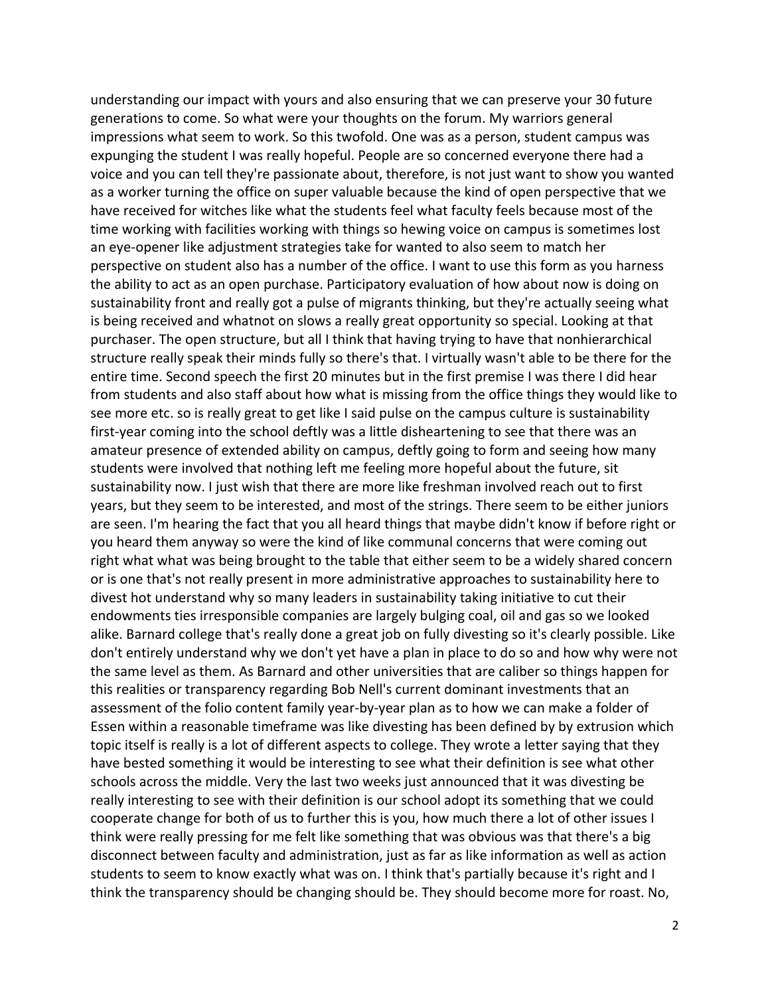understanding our impact with yours and also ensuring that we can preserve your 30 future generations to come. So what were your thoughts on the forum. My warriors general impressions what seem to work. So this twofold. One was as a person, student campus was expunging the student I was really hopeful. People are so concerned everyone there had a voice and you can tell they're passionate about, therefore, is not just want to show you wanted as a worker turning the office on super valuable because the kind of open perspective that we have received for witches like what the students feel what faculty feels because most of the time working with facilities working with things so hewing voice on campus is sometimes lost an eye-opener like adjustment strategies take for wanted to also seem to match her perspective on student also has a number of the office. I want to use this form as you harness the ability to act as an open purchase. Participatory evaluation of how about now is doing on sustainability front and really got a pulse of migrants thinking, but they're actually seeing what is being received and whatnot on slows a really great opportunity so special. Looking at that purchaser. The open structure, but all I think that having trying to have that nonhierarchical structure really speak their minds fully so there's that. I virtually wasn't able to be there for the entire time. Second speech the first 20 minutes but in the first premise I was there I did hear from students and also staff about how what is missing from the office things they would like to see more etc. so is really great to get like I said pulse on the campus culture is sustainability first-year coming into the school deftly was a little disheartening to see that there was an amateur presence of extended ability on campus, deftly going to form and seeing how many students were involved that nothing left me feeling more hopeful about the future, sit sustainability now. I just wish that there are more like freshman involved reach out to first years, but they seem to be interested, and most of the strings. There seem to be either juniors are seen. I'm hearing the fact that you all heard things that maybe didn't know if before right or you heard them anyway so were the kind of like communal concerns that were coming out right what what was being brought to the table that either seem to be a widely shared concern or is one that's not really present in more administrative approaches to sustainability here to divest hot understand why so many leaders in sustainability taking initiative to cut their endowments ties irresponsible companies are largely bulging coal, oil and gas so we looked alike. Barnard college that's really done a great job on fully divesting so it's clearly possible. Like don't entirely understand why we don't yet have a plan in place to do so and how why were not the same level as them. As Barnard and other universities that are caliber so things happen for this realities or transparency regarding Bob Nell's current dominant investments that an assessment of the folio content family year-by-year plan as to how we can make a folder of Essen within a reasonable timeframe was like divesting has been defined by by extrusion which topic itself is really is a lot of different aspects to college. They wrote a letter saying that they have bested something it would be interesting to see what their definition is see what other schools across the middle. Very the last two weeks just announced that it was divesting be really interesting to see with their definition is our school adopt its something that we could cooperate change for both of us to further this is you, how much there a lot of other issues I think were really pressing for me felt like something that was obvious was that there's a big disconnect between faculty and administration, just as far as like information as well as action students to seem to know exactly what was on. I think that's partially because it's right and I think the transparency should be changing should be. They should become more for roast. No,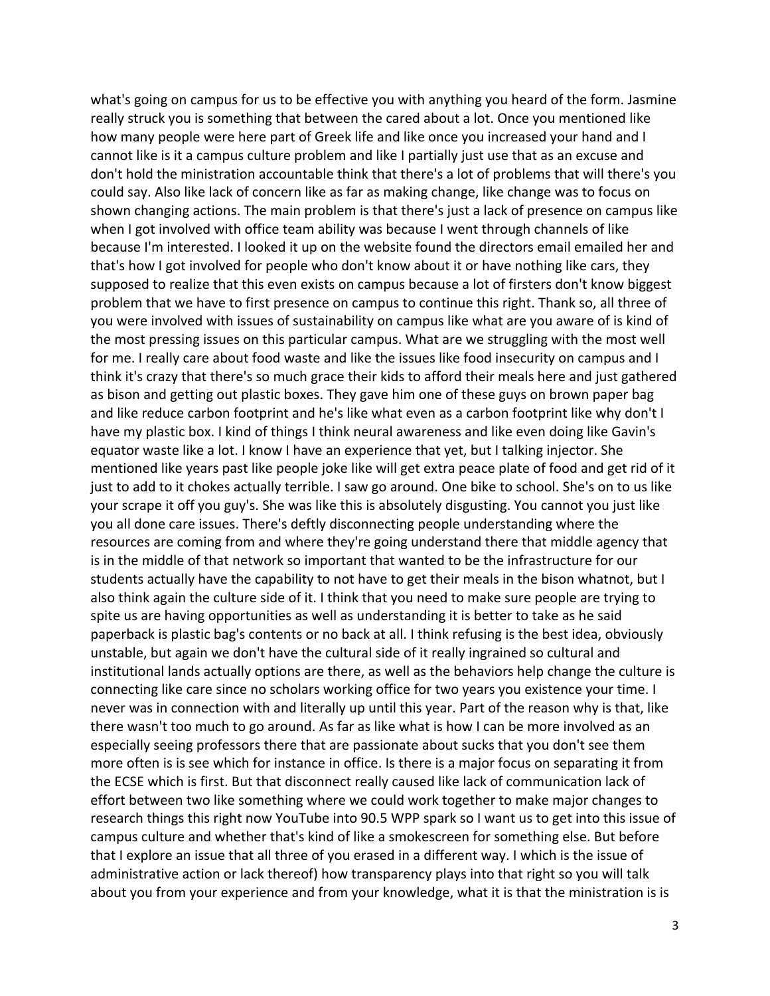what's going on campus for us to be effective you with anything you heard of the form. Jasmine really struck you is something that between the cared about a lot. Once you mentioned like how many people were here part of Greek life and like once you increased your hand and I cannot like is it a campus culture problem and like I partially just use that as an excuse and don't hold the ministration accountable think that there's a lot of problems that will there's you could say. Also like lack of concern like as far as making change, like change was to focus on shown changing actions. The main problem is that there's just a lack of presence on campus like when I got involved with office team ability was because I went through channels of like because I'm interested. I looked it up on the website found the directors email emailed her and that's how I got involved for people who don't know about it or have nothing like cars, they supposed to realize that this even exists on campus because a lot of firsters don't know biggest problem that we have to first presence on campus to continue this right. Thank so, all three of you were involved with issues of sustainability on campus like what are you aware of is kind of the most pressing issues on this particular campus. What are we struggling with the most well for me. I really care about food waste and like the issues like food insecurity on campus and I think it's crazy that there's so much grace their kids to afford their meals here and just gathered as bison and getting out plastic boxes. They gave him one of these guys on brown paper bag and like reduce carbon footprint and he's like what even as a carbon footprint like why don't I have my plastic box. I kind of things I think neural awareness and like even doing like Gavin's equator waste like a lot. I know I have an experience that yet, but I talking injector. She mentioned like years past like people joke like will get extra peace plate of food and get rid of it just to add to it chokes actually terrible. I saw go around. One bike to school. She's on to us like your scrape it off you guy's. She was like this is absolutely disgusting. You cannot you just like you all done care issues. There's deftly disconnecting people understanding where the resources are coming from and where they're going understand there that middle agency that is in the middle of that network so important that wanted to be the infrastructure for our students actually have the capability to not have to get their meals in the bison whatnot, but I also think again the culture side of it. I think that you need to make sure people are trying to spite us are having opportunities as well as understanding it is better to take as he said paperback is plastic bag's contents or no back at all. I think refusing is the best idea, obviously unstable, but again we don't have the cultural side of it really ingrained so cultural and institutional lands actually options are there, as well as the behaviors help change the culture is connecting like care since no scholars working office for two years you existence your time. I never was in connection with and literally up until this year. Part of the reason why is that, like there wasn't too much to go around. As far as like what is how I can be more involved as an especially seeing professors there that are passionate about sucks that you don't see them more often is is see which for instance in office. Is there is a major focus on separating it from the ECSE which is first. But that disconnect really caused like lack of communication lack of effort between two like something where we could work together to make major changes to research things this right now YouTube into 90.5 WPP spark so I want us to get into this issue of campus culture and whether that's kind of like a smokescreen for something else. But before that I explore an issue that all three of you erased in a different way. I which is the issue of administrative action or lack thereof) how transparency plays into that right so you will talk about you from your experience and from your knowledge, what it is that the ministration is is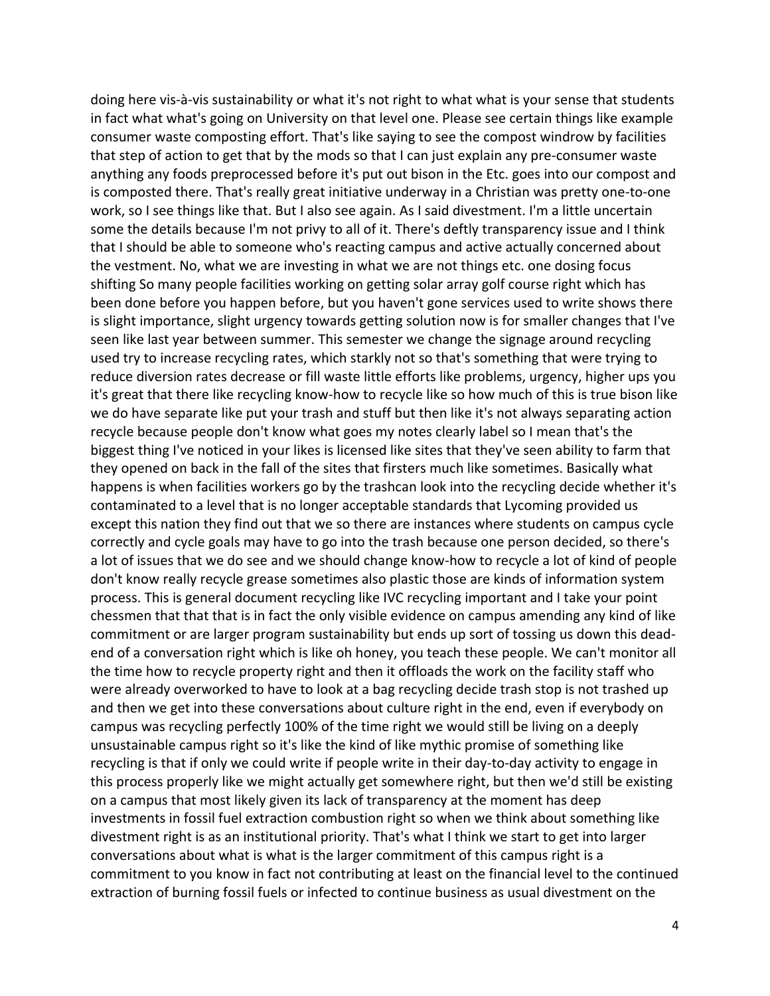doing here vis-à-vis sustainability or what it's not right to what what is your sense that students in fact what what's going on University on that level one. Please see certain things like example consumer waste composting effort. That's like saying to see the compost windrow by facilities that step of action to get that by the mods so that I can just explain any pre-consumer waste anything any foods preprocessed before it's put out bison in the Etc. goes into our compost and is composted there. That's really great initiative underway in a Christian was pretty one-to-one work, so I see things like that. But I also see again. As I said divestment. I'm a little uncertain some the details because I'm not privy to all of it. There's deftly transparency issue and I think that I should be able to someone who's reacting campus and active actually concerned about the vestment. No, what we are investing in what we are not things etc. one dosing focus shifting So many people facilities working on getting solar array golf course right which has been done before you happen before, but you haven't gone services used to write shows there is slight importance, slight urgency towards getting solution now is for smaller changes that I've seen like last year between summer. This semester we change the signage around recycling used try to increase recycling rates, which starkly not so that's something that were trying to reduce diversion rates decrease or fill waste little efforts like problems, urgency, higher ups you it's great that there like recycling know-how to recycle like so how much of this is true bison like we do have separate like put your trash and stuff but then like it's not always separating action recycle because people don't know what goes my notes clearly label so I mean that's the biggest thing I've noticed in your likes is licensed like sites that they've seen ability to farm that they opened on back in the fall of the sites that firsters much like sometimes. Basically what happens is when facilities workers go by the trashcan look into the recycling decide whether it's contaminated to a level that is no longer acceptable standards that Lycoming provided us except this nation they find out that we so there are instances where students on campus cycle correctly and cycle goals may have to go into the trash because one person decided, so there's a lot of issues that we do see and we should change know-how to recycle a lot of kind of people don't know really recycle grease sometimes also plastic those are kinds of information system process. This is general document recycling like IVC recycling important and I take your point chessmen that that that is in fact the only visible evidence on campus amending any kind of like commitment or are larger program sustainability but ends up sort of tossing us down this deadend of a conversation right which is like oh honey, you teach these people. We can't monitor all the time how to recycle property right and then it offloads the work on the facility staff who were already overworked to have to look at a bag recycling decide trash stop is not trashed up and then we get into these conversations about culture right in the end, even if everybody on campus was recycling perfectly 100% of the time right we would still be living on a deeply unsustainable campus right so it's like the kind of like mythic promise of something like recycling is that if only we could write if people write in their day-to-day activity to engage in this process properly like we might actually get somewhere right, but then we'd still be existing on a campus that most likely given its lack of transparency at the moment has deep investments in fossil fuel extraction combustion right so when we think about something like divestment right is as an institutional priority. That's what I think we start to get into larger conversations about what is what is the larger commitment of this campus right is a commitment to you know in fact not contributing at least on the financial level to the continued extraction of burning fossil fuels or infected to continue business as usual divestment on the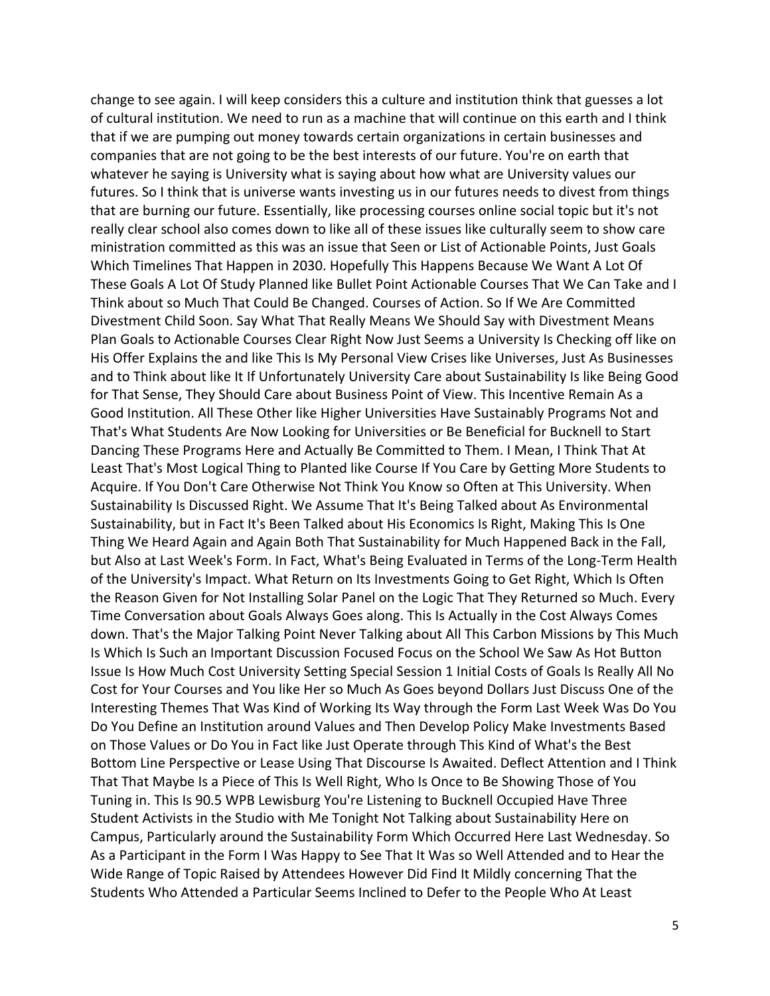change to see again. I will keep considers this a culture and institution think that guesses a lot of cultural institution. We need to run as a machine that will continue on this earth and I think that if we are pumping out money towards certain organizations in certain businesses and companies that are not going to be the best interests of our future. You're on earth that whatever he saying is University what is saying about how what are University values our futures. So I think that is universe wants investing us in our futures needs to divest from things that are burning our future. Essentially, like processing courses online social topic but it's not really clear school also comes down to like all of these issues like culturally seem to show care ministration committed as this was an issue that Seen or List of Actionable Points, Just Goals Which Timelines That Happen in 2030. Hopefully This Happens Because We Want A Lot Of These Goals A Lot Of Study Planned like Bullet Point Actionable Courses That We Can Take and I Think about so Much That Could Be Changed. Courses of Action. So If We Are Committed Divestment Child Soon. Say What That Really Means We Should Say with Divestment Means Plan Goals to Actionable Courses Clear Right Now Just Seems a University Is Checking off like on His Offer Explains the and like This Is My Personal View Crises like Universes, Just As Businesses and to Think about like It If Unfortunately University Care about Sustainability Is like Being Good for That Sense, They Should Care about Business Point of View. This Incentive Remain As a Good Institution. All These Other like Higher Universities Have Sustainably Programs Not and That's What Students Are Now Looking for Universities or Be Beneficial for Bucknell to Start Dancing These Programs Here and Actually Be Committed to Them. I Mean, I Think That At Least That's Most Logical Thing to Planted like Course If You Care by Getting More Students to Acquire. If You Don't Care Otherwise Not Think You Know so Often at This University. When Sustainability Is Discussed Right. We Assume That It's Being Talked about As Environmental Sustainability, but in Fact It's Been Talked about His Economics Is Right, Making This Is One Thing We Heard Again and Again Both That Sustainability for Much Happened Back in the Fall, but Also at Last Week's Form. In Fact, What's Being Evaluated in Terms of the Long-Term Health of the University's Impact. What Return on Its Investments Going to Get Right, Which Is Often the Reason Given for Not Installing Solar Panel on the Logic That They Returned so Much. Every Time Conversation about Goals Always Goes along. This Is Actually in the Cost Always Comes down. That's the Major Talking Point Never Talking about All This Carbon Missions by This Much Is Which Is Such an Important Discussion Focused Focus on the School We Saw As Hot Button Issue Is How Much Cost University Setting Special Session 1 Initial Costs of Goals Is Really All No Cost for Your Courses and You like Her so Much As Goes beyond Dollars Just Discuss One of the Interesting Themes That Was Kind of Working Its Way through the Form Last Week Was Do You Do You Define an Institution around Values and Then Develop Policy Make Investments Based on Those Values or Do You in Fact like Just Operate through This Kind of What's the Best Bottom Line Perspective or Lease Using That Discourse Is Awaited. Deflect Attention and I Think That That Maybe Is a Piece of This Is Well Right, Who Is Once to Be Showing Those of You Tuning in. This Is 90.5 WPB Lewisburg You're Listening to Bucknell Occupied Have Three Student Activists in the Studio with Me Tonight Not Talking about Sustainability Here on Campus, Particularly around the Sustainability Form Which Occurred Here Last Wednesday. So As a Participant in the Form I Was Happy to See That It Was so Well Attended and to Hear the Wide Range of Topic Raised by Attendees However Did Find It Mildly concerning That the Students Who Attended a Particular Seems Inclined to Defer to the People Who At Least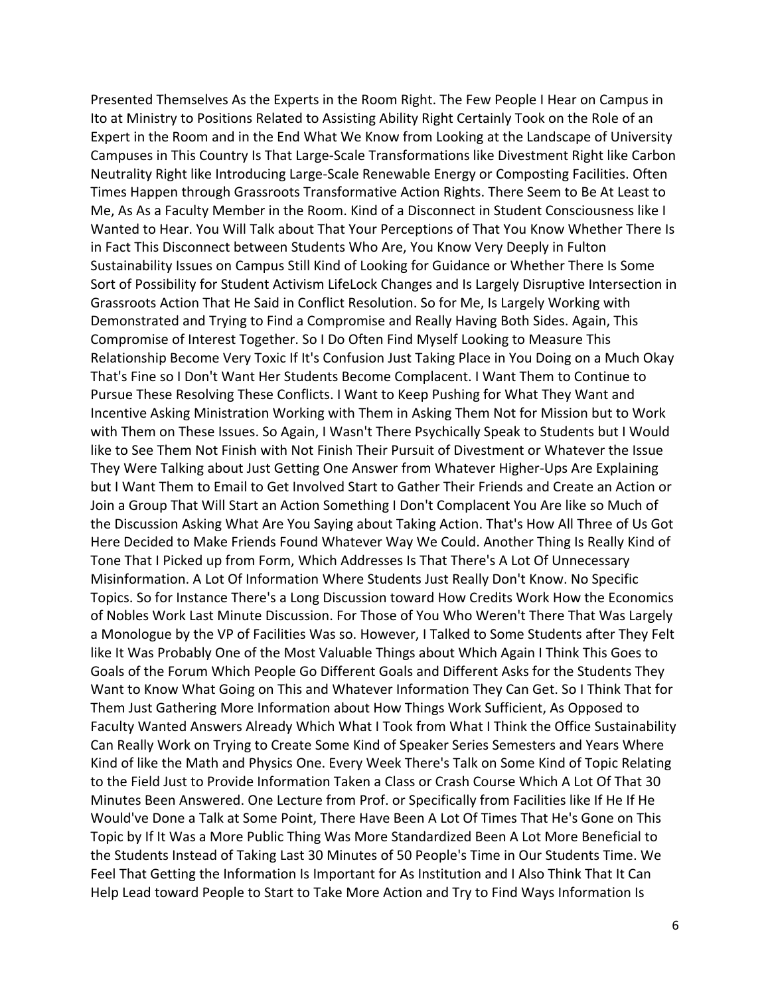Presented Themselves As the Experts in the Room Right. The Few People I Hear on Campus in Ito at Ministry to Positions Related to Assisting Ability Right Certainly Took on the Role of an Expert in the Room and in the End What We Know from Looking at the Landscape of University Campuses in This Country Is That Large-Scale Transformations like Divestment Right like Carbon Neutrality Right like Introducing Large-Scale Renewable Energy or Composting Facilities. Often Times Happen through Grassroots Transformative Action Rights. There Seem to Be At Least to Me, As As a Faculty Member in the Room. Kind of a Disconnect in Student Consciousness like I Wanted to Hear. You Will Talk about That Your Perceptions of That You Know Whether There Is in Fact This Disconnect between Students Who Are, You Know Very Deeply in Fulton Sustainability Issues on Campus Still Kind of Looking for Guidance or Whether There Is Some Sort of Possibility for Student Activism LifeLock Changes and Is Largely Disruptive Intersection in Grassroots Action That He Said in Conflict Resolution. So for Me, Is Largely Working with Demonstrated and Trying to Find a Compromise and Really Having Both Sides. Again, This Compromise of Interest Together. So I Do Often Find Myself Looking to Measure This Relationship Become Very Toxic If It's Confusion Just Taking Place in You Doing on a Much Okay That's Fine so I Don't Want Her Students Become Complacent. I Want Them to Continue to Pursue These Resolving These Conflicts. I Want to Keep Pushing for What They Want and Incentive Asking Ministration Working with Them in Asking Them Not for Mission but to Work with Them on These Issues. So Again, I Wasn't There Psychically Speak to Students but I Would like to See Them Not Finish with Not Finish Their Pursuit of Divestment or Whatever the Issue They Were Talking about Just Getting One Answer from Whatever Higher-Ups Are Explaining but I Want Them to Email to Get Involved Start to Gather Their Friends and Create an Action or Join a Group That Will Start an Action Something I Don't Complacent You Are like so Much of the Discussion Asking What Are You Saying about Taking Action. That's How All Three of Us Got Here Decided to Make Friends Found Whatever Way We Could. Another Thing Is Really Kind of Tone That I Picked up from Form, Which Addresses Is That There's A Lot Of Unnecessary Misinformation. A Lot Of Information Where Students Just Really Don't Know. No Specific Topics. So for Instance There's a Long Discussion toward How Credits Work How the Economics of Nobles Work Last Minute Discussion. For Those of You Who Weren't There That Was Largely a Monologue by the VP of Facilities Was so. However, I Talked to Some Students after They Felt like It Was Probably One of the Most Valuable Things about Which Again I Think This Goes to Goals of the Forum Which People Go Different Goals and Different Asks for the Students They Want to Know What Going on This and Whatever Information They Can Get. So I Think That for Them Just Gathering More Information about How Things Work Sufficient, As Opposed to Faculty Wanted Answers Already Which What I Took from What I Think the Office Sustainability Can Really Work on Trying to Create Some Kind of Speaker Series Semesters and Years Where Kind of like the Math and Physics One. Every Week There's Talk on Some Kind of Topic Relating to the Field Just to Provide Information Taken a Class or Crash Course Which A Lot Of That 30 Minutes Been Answered. One Lecture from Prof. or Specifically from Facilities like If He If He Would've Done a Talk at Some Point, There Have Been A Lot Of Times That He's Gone on This Topic by If It Was a More Public Thing Was More Standardized Been A Lot More Beneficial to the Students Instead of Taking Last 30 Minutes of 50 People's Time in Our Students Time. We Feel That Getting the Information Is Important for As Institution and I Also Think That It Can Help Lead toward People to Start to Take More Action and Try to Find Ways Information Is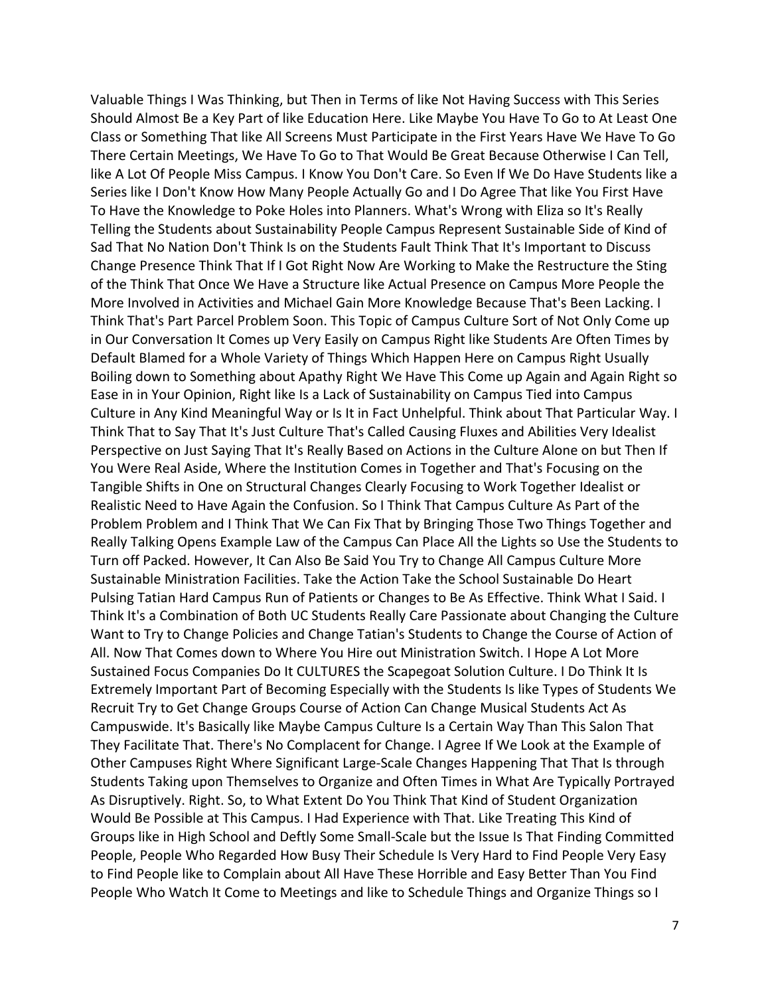Valuable Things I Was Thinking, but Then in Terms of like Not Having Success with This Series Should Almost Be a Key Part of like Education Here. Like Maybe You Have To Go to At Least One Class or Something That like All Screens Must Participate in the First Years Have We Have To Go There Certain Meetings, We Have To Go to That Would Be Great Because Otherwise I Can Tell, like A Lot Of People Miss Campus. I Know You Don't Care. So Even If We Do Have Students like a Series like I Don't Know How Many People Actually Go and I Do Agree That like You First Have To Have the Knowledge to Poke Holes into Planners. What's Wrong with Eliza so It's Really Telling the Students about Sustainability People Campus Represent Sustainable Side of Kind of Sad That No Nation Don't Think Is on the Students Fault Think That It's Important to Discuss Change Presence Think That If I Got Right Now Are Working to Make the Restructure the Sting of the Think That Once We Have a Structure like Actual Presence on Campus More People the More Involved in Activities and Michael Gain More Knowledge Because That's Been Lacking. I Think That's Part Parcel Problem Soon. This Topic of Campus Culture Sort of Not Only Come up in Our Conversation It Comes up Very Easily on Campus Right like Students Are Often Times by Default Blamed for a Whole Variety of Things Which Happen Here on Campus Right Usually Boiling down to Something about Apathy Right We Have This Come up Again and Again Right so Ease in in Your Opinion, Right like Is a Lack of Sustainability on Campus Tied into Campus Culture in Any Kind Meaningful Way or Is It in Fact Unhelpful. Think about That Particular Way. I Think That to Say That It's Just Culture That's Called Causing Fluxes and Abilities Very Idealist Perspective on Just Saying That It's Really Based on Actions in the Culture Alone on but Then If You Were Real Aside, Where the Institution Comes in Together and That's Focusing on the Tangible Shifts in One on Structural Changes Clearly Focusing to Work Together Idealist or Realistic Need to Have Again the Confusion. So I Think That Campus Culture As Part of the Problem Problem and I Think That We Can Fix That by Bringing Those Two Things Together and Really Talking Opens Example Law of the Campus Can Place All the Lights so Use the Students to Turn off Packed. However, It Can Also Be Said You Try to Change All Campus Culture More Sustainable Ministration Facilities. Take the Action Take the School Sustainable Do Heart Pulsing Tatian Hard Campus Run of Patients or Changes to Be As Effective. Think What I Said. I Think It's a Combination of Both UC Students Really Care Passionate about Changing the Culture Want to Try to Change Policies and Change Tatian's Students to Change the Course of Action of All. Now That Comes down to Where You Hire out Ministration Switch. I Hope A Lot More Sustained Focus Companies Do It CULTURES the Scapegoat Solution Culture. I Do Think It Is Extremely Important Part of Becoming Especially with the Students Is like Types of Students We Recruit Try to Get Change Groups Course of Action Can Change Musical Students Act As Campuswide. It's Basically like Maybe Campus Culture Is a Certain Way Than This Salon That They Facilitate That. There's No Complacent for Change. I Agree If We Look at the Example of Other Campuses Right Where Significant Large-Scale Changes Happening That That Is through Students Taking upon Themselves to Organize and Often Times in What Are Typically Portrayed As Disruptively. Right. So, to What Extent Do You Think That Kind of Student Organization Would Be Possible at This Campus. I Had Experience with That. Like Treating This Kind of Groups like in High School and Deftly Some Small-Scale but the Issue Is That Finding Committed People, People Who Regarded How Busy Their Schedule Is Very Hard to Find People Very Easy to Find People like to Complain about All Have These Horrible and Easy Better Than You Find People Who Watch It Come to Meetings and like to Schedule Things and Organize Things so I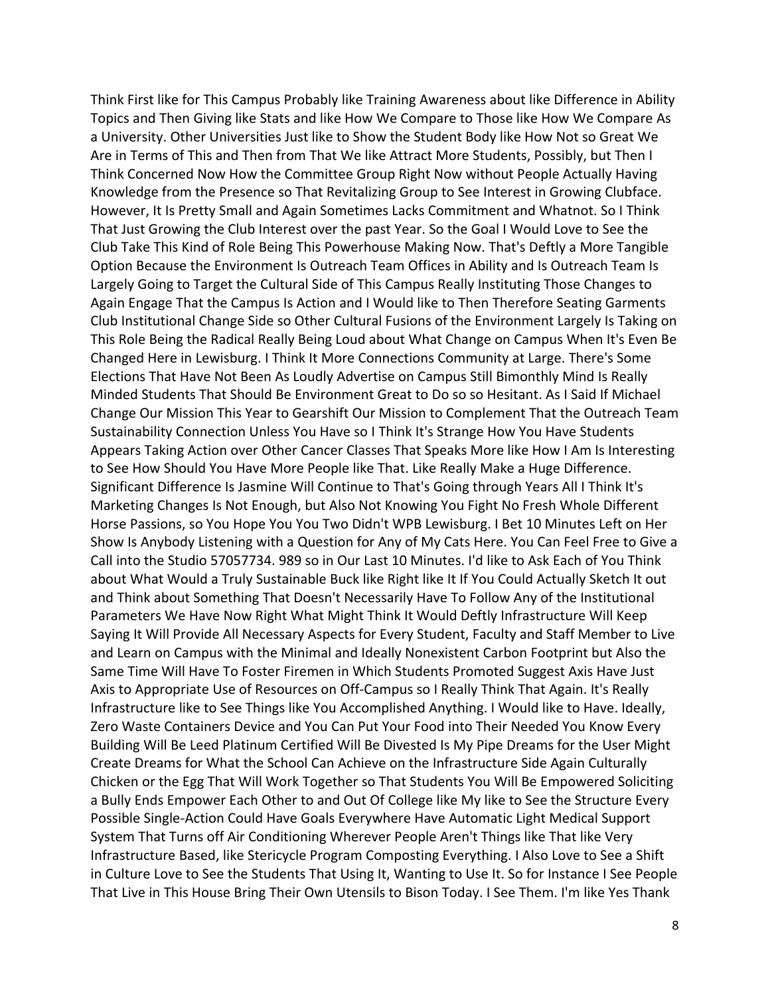Think First like for This Campus Probably like Training Awareness about like Difference in Ability Topics and Then Giving like Stats and like How We Compare to Those like How We Compare As a University. Other Universities Just like to Show the Student Body like How Not so Great We Are in Terms of This and Then from That We like Attract More Students, Possibly, but Then I Think Concerned Now How the Committee Group Right Now without People Actually Having Knowledge from the Presence so That Revitalizing Group to See Interest in Growing Clubface. However, It Is Pretty Small and Again Sometimes Lacks Commitment and Whatnot. So I Think That Just Growing the Club Interest over the past Year. So the Goal I Would Love to See the Club Take This Kind of Role Being This Powerhouse Making Now. That's Deftly a More Tangible Option Because the Environment Is Outreach Team Offices in Ability and Is Outreach Team Is Largely Going to Target the Cultural Side of This Campus Really Instituting Those Changes to Again Engage That the Campus Is Action and I Would like to Then Therefore Seating Garments Club Institutional Change Side so Other Cultural Fusions of the Environment Largely Is Taking on This Role Being the Radical Really Being Loud about What Change on Campus When It's Even Be Changed Here in Lewisburg. I Think It More Connections Community at Large. There's Some Elections That Have Not Been As Loudly Advertise on Campus Still Bimonthly Mind Is Really Minded Students That Should Be Environment Great to Do so so Hesitant. As I Said If Michael Change Our Mission This Year to Gearshift Our Mission to Complement That the Outreach Team Sustainability Connection Unless You Have so I Think It's Strange How You Have Students Appears Taking Action over Other Cancer Classes That Speaks More like How I Am Is Interesting to See How Should You Have More People like That. Like Really Make a Huge Difference. Significant Difference Is Jasmine Will Continue to That's Going through Years All I Think It's Marketing Changes Is Not Enough, but Also Not Knowing You Fight No Fresh Whole Different Horse Passions, so You Hope You You Two Didn't WPB Lewisburg. I Bet 10 Minutes Left on Her Show Is Anybody Listening with a Question for Any of My Cats Here. You Can Feel Free to Give a Call into the Studio 57057734. 989 so in Our Last 10 Minutes. I'd like to Ask Each of You Think about What Would a Truly Sustainable Buck like Right like It If You Could Actually Sketch It out and Think about Something That Doesn't Necessarily Have To Follow Any of the Institutional Parameters We Have Now Right What Might Think It Would Deftly Infrastructure Will Keep Saying It Will Provide All Necessary Aspects for Every Student, Faculty and Staff Member to Live and Learn on Campus with the Minimal and Ideally Nonexistent Carbon Footprint but Also the Same Time Will Have To Foster Firemen in Which Students Promoted Suggest Axis Have Just Axis to Appropriate Use of Resources on Off-Campus so I Really Think That Again. It's Really Infrastructure like to See Things like You Accomplished Anything. I Would like to Have. Ideally, Zero Waste Containers Device and You Can Put Your Food into Their Needed You Know Every Building Will Be Leed Platinum Certified Will Be Divested Is My Pipe Dreams for the User Might Create Dreams for What the School Can Achieve on the Infrastructure Side Again Culturally Chicken or the Egg That Will Work Together so That Students You Will Be Empowered Soliciting a Bully Ends Empower Each Other to and Out Of College like My like to See the Structure Every Possible Single-Action Could Have Goals Everywhere Have Automatic Light Medical Support System That Turns off Air Conditioning Wherever People Aren't Things like That like Very Infrastructure Based, like Stericycle Program Composting Everything. I Also Love to See a Shift in Culture Love to See the Students That Using It, Wanting to Use It. So for Instance I See People That Live in This House Bring Their Own Utensils to Bison Today. I See Them. I'm like Yes Thank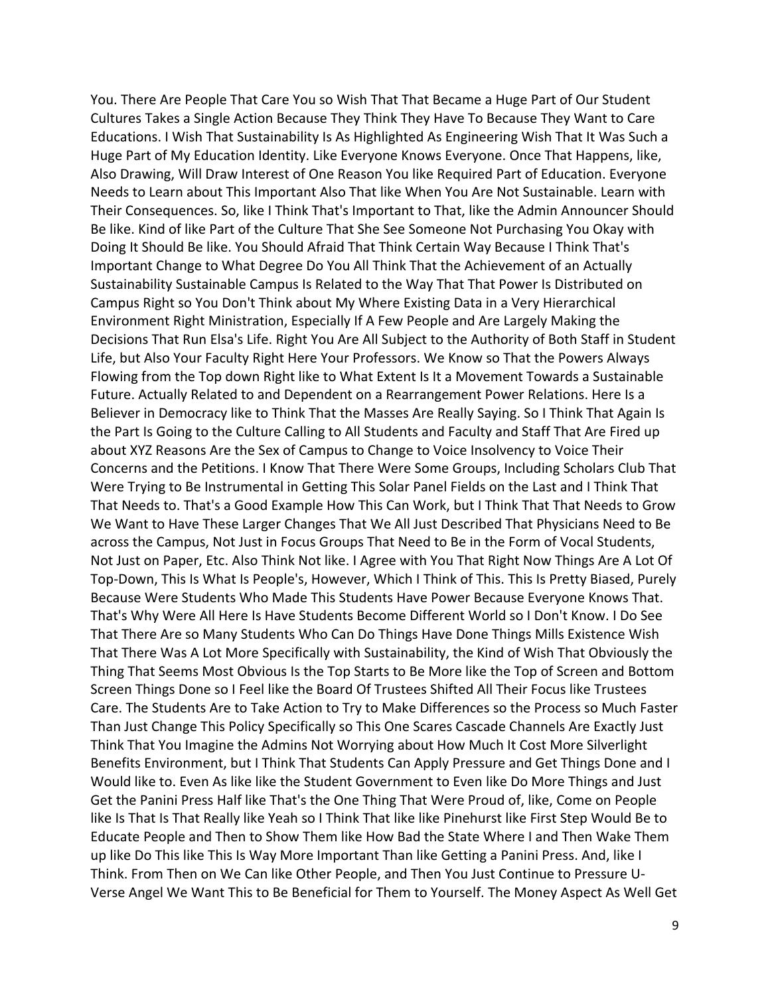You. There Are People That Care You so Wish That That Became a Huge Part of Our Student Cultures Takes a Single Action Because They Think They Have To Because They Want to Care Educations. I Wish That Sustainability Is As Highlighted As Engineering Wish That It Was Such a Huge Part of My Education Identity. Like Everyone Knows Everyone. Once That Happens, like, Also Drawing, Will Draw Interest of One Reason You like Required Part of Education. Everyone Needs to Learn about This Important Also That like When You Are Not Sustainable. Learn with Their Consequences. So, like I Think That's Important to That, like the Admin Announcer Should Be like. Kind of like Part of the Culture That She See Someone Not Purchasing You Okay with Doing It Should Be like. You Should Afraid That Think Certain Way Because I Think That's Important Change to What Degree Do You All Think That the Achievement of an Actually Sustainability Sustainable Campus Is Related to the Way That That Power Is Distributed on Campus Right so You Don't Think about My Where Existing Data in a Very Hierarchical Environment Right Ministration, Especially If A Few People and Are Largely Making the Decisions That Run Elsa's Life. Right You Are All Subject to the Authority of Both Staff in Student Life, but Also Your Faculty Right Here Your Professors. We Know so That the Powers Always Flowing from the Top down Right like to What Extent Is It a Movement Towards a Sustainable Future. Actually Related to and Dependent on a Rearrangement Power Relations. Here Is a Believer in Democracy like to Think That the Masses Are Really Saying. So I Think That Again Is the Part Is Going to the Culture Calling to All Students and Faculty and Staff That Are Fired up about XYZ Reasons Are the Sex of Campus to Change to Voice Insolvency to Voice Their Concerns and the Petitions. I Know That There Were Some Groups, Including Scholars Club That Were Trying to Be Instrumental in Getting This Solar Panel Fields on the Last and I Think That That Needs to. That's a Good Example How This Can Work, but I Think That That Needs to Grow We Want to Have These Larger Changes That We All Just Described That Physicians Need to Be across the Campus, Not Just in Focus Groups That Need to Be in the Form of Vocal Students, Not Just on Paper, Etc. Also Think Not like. I Agree with You That Right Now Things Are A Lot Of Top-Down, This Is What Is People's, However, Which I Think of This. This Is Pretty Biased, Purely Because Were Students Who Made This Students Have Power Because Everyone Knows That. That's Why Were All Here Is Have Students Become Different World so I Don't Know. I Do See That There Are so Many Students Who Can Do Things Have Done Things Mills Existence Wish That There Was A Lot More Specifically with Sustainability, the Kind of Wish That Obviously the Thing That Seems Most Obvious Is the Top Starts to Be More like the Top of Screen and Bottom Screen Things Done so I Feel like the Board Of Trustees Shifted All Their Focus like Trustees Care. The Students Are to Take Action to Try to Make Differences so the Process so Much Faster Than Just Change This Policy Specifically so This One Scares Cascade Channels Are Exactly Just Think That You Imagine the Admins Not Worrying about How Much It Cost More Silverlight Benefits Environment, but I Think That Students Can Apply Pressure and Get Things Done and I Would like to. Even As like like the Student Government to Even like Do More Things and Just Get the Panini Press Half like That's the One Thing That Were Proud of, like, Come on People like Is That Is That Really like Yeah so I Think That like like Pinehurst like First Step Would Be to Educate People and Then to Show Them like How Bad the State Where I and Then Wake Them up like Do This like This Is Way More Important Than like Getting a Panini Press. And, like I Think. From Then on We Can like Other People, and Then You Just Continue to Pressure U-Verse Angel We Want This to Be Beneficial for Them to Yourself. The Money Aspect As Well Get